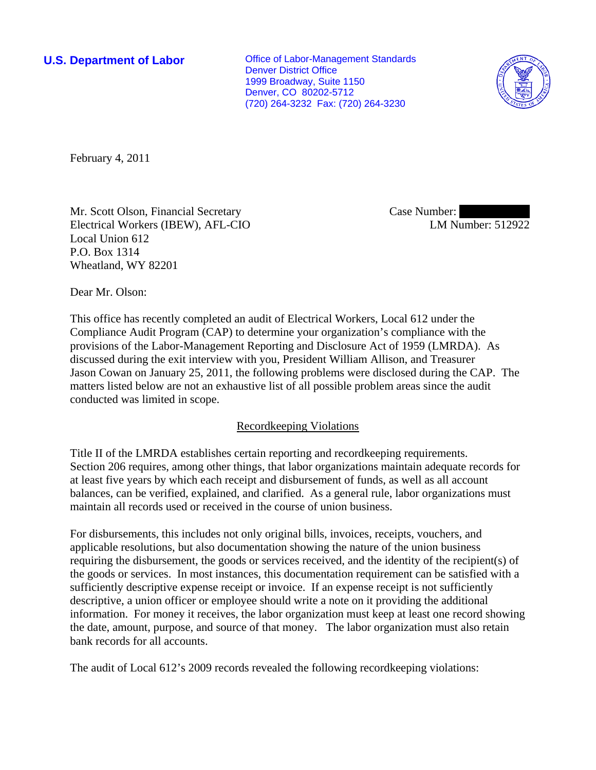**U.S. Department of Labor Conservative Conservative Conservative Conservative Conservative Conservative Conservative Conservative Conservative Conservative Conservative Conservative Conservative Conservative Conservative** Denver District Office 1999 Broadway, Suite 1150 Denver, CO 80202-5712 (720) 264-3232 Fax: (720) 264-3230



February 4, 2011

Mr. Scott Olson, Financial Secretary Electrical Workers (IBEW), AFL-CIO Local Union 612 P.O. Box 1314 Wheatland, WY 82201

Case Number: LM Number: 512922

Dear Mr. Olson:

This office has recently completed an audit of Electrical Workers, Local 612 under the Compliance Audit Program (CAP) to determine your organization's compliance with the provisions of the Labor-Management Reporting and Disclosure Act of 1959 (LMRDA). As discussed during the exit interview with you, President William Allison, and Treasurer Jason Cowan on January 25, 2011, the following problems were disclosed during the CAP. The matters listed below are not an exhaustive list of all possible problem areas since the audit conducted was limited in scope.

# Recordkeeping Violations

Title II of the LMRDA establishes certain reporting and recordkeeping requirements. Section 206 requires, among other things, that labor organizations maintain adequate records for at least five years by which each receipt and disbursement of funds, as well as all account balances, can be verified, explained, and clarified. As a general rule, labor organizations must maintain all records used or received in the course of union business.

For disbursements, this includes not only original bills, invoices, receipts, vouchers, and applicable resolutions, but also documentation showing the nature of the union business requiring the disbursement, the goods or services received, and the identity of the recipient(s) of the goods or services. In most instances, this documentation requirement can be satisfied with a sufficiently descriptive expense receipt or invoice. If an expense receipt is not sufficiently descriptive, a union officer or employee should write a note on it providing the additional information. For money it receives, the labor organization must keep at least one record showing the date, amount, purpose, and source of that money. The labor organization must also retain bank records for all accounts.

The audit of Local 612's 2009 records revealed the following recordkeeping violations: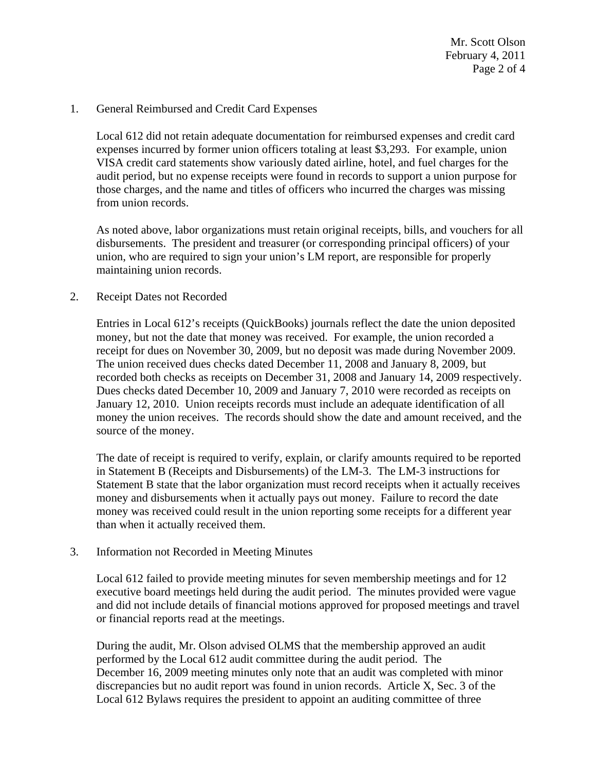#### 1. General Reimbursed and Credit Card Expenses

Local 612 did not retain adequate documentation for reimbursed expenses and credit card expenses incurred by former union officers totaling at least \$3,293. For example, union VISA credit card statements show variously dated airline, hotel, and fuel charges for the audit period, but no expense receipts were found in records to support a union purpose for those charges, and the name and titles of officers who incurred the charges was missing from union records.

As noted above, labor organizations must retain original receipts, bills, and vouchers for all disbursements. The president and treasurer (or corresponding principal officers) of your union, who are required to sign your union's LM report, are responsible for properly maintaining union records.

#### 2. Receipt Dates not Recorded

Entries in Local 612's receipts (QuickBooks) journals reflect the date the union deposited money, but not the date that money was received. For example, the union recorded a receipt for dues on November 30, 2009, but no deposit was made during November 2009. The union received dues checks dated December 11, 2008 and January 8, 2009, but recorded both checks as receipts on December 31, 2008 and January 14, 2009 respectively. Dues checks dated December 10, 2009 and January 7, 2010 were recorded as receipts on January 12, 2010. Union receipts records must include an adequate identification of all money the union receives. The records should show the date and amount received, and the source of the money.

The date of receipt is required to verify, explain, or clarify amounts required to be reported in Statement B (Receipts and Disbursements) of the LM-3. The LM-3 instructions for Statement B state that the labor organization must record receipts when it actually receives money and disbursements when it actually pays out money. Failure to record the date money was received could result in the union reporting some receipts for a different year than when it actually received them.

### 3. Information not Recorded in Meeting Minutes

Local 612 failed to provide meeting minutes for seven membership meetings and for 12 executive board meetings held during the audit period. The minutes provided were vague and did not include details of financial motions approved for proposed meetings and travel or financial reports read at the meetings.

During the audit, Mr. Olson advised OLMS that the membership approved an audit performed by the Local 612 audit committee during the audit period. The December 16, 2009 meeting minutes only note that an audit was completed with minor discrepancies but no audit report was found in union records. Article X, Sec. 3 of the Local 612 Bylaws requires the president to appoint an auditing committee of three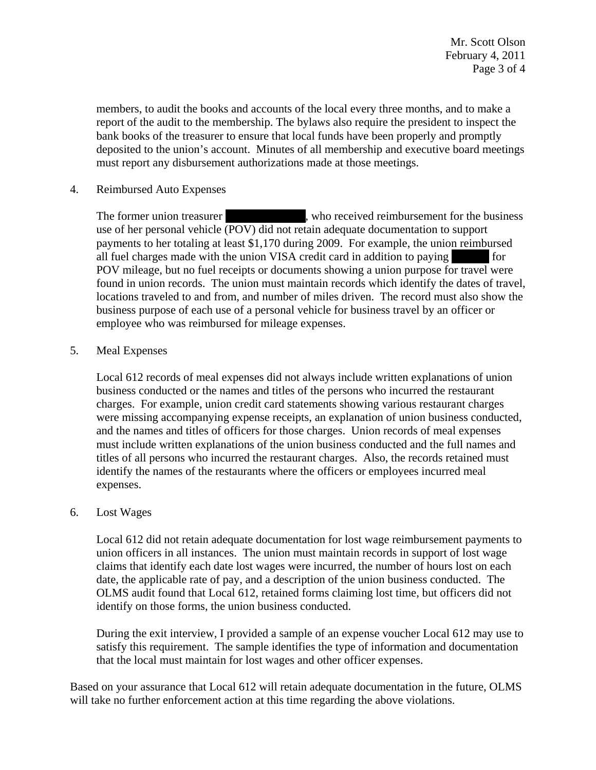members, to audit the books and accounts of the local every three months, and to make a report of the audit to the membership. The bylaws also require the president to inspect the bank books of the treasurer to ensure that local funds have been properly and promptly deposited to the union's account. Minutes of all membership and executive board meetings must report any disbursement authorizations made at those meetings.

4. Reimbursed Auto Expenses

The former union treasurer , who received reimbursement for the business use of her personal vehicle (POV) did not retain adequate documentation to support payments to her totaling at least \$1,170 during 2009. For example, the union reimbursed all fuel charges made with the union VISA credit card in addition to paying |||||||||||||||| for POV mileage, but no fuel receipts or documents showing a union purpose for travel were found in union records. The union must maintain records which identify the dates of travel, locations traveled to and from, and number of miles driven. The record must also show the business purpose of each use of a personal vehicle for business travel by an officer or employee who was reimbursed for mileage expenses.

# 5. Meal Expenses

Local 612 records of meal expenses did not always include written explanations of union business conducted or the names and titles of the persons who incurred the restaurant charges. For example, union credit card statements showing various restaurant charges were missing accompanying expense receipts, an explanation of union business conducted, and the names and titles of officers for those charges. Union records of meal expenses must include written explanations of the union business conducted and the full names and titles of all persons who incurred the restaurant charges. Also, the records retained must identify the names of the restaurants where the officers or employees incurred meal expenses.

### 6. Lost Wages

Local 612 did not retain adequate documentation for lost wage reimbursement payments to union officers in all instances. The union must maintain records in support of lost wage claims that identify each date lost wages were incurred, the number of hours lost on each date, the applicable rate of pay, and a description of the union business conducted. The OLMS audit found that Local 612, retained forms claiming lost time, but officers did not identify on those forms, the union business conducted.

During the exit interview, I provided a sample of an expense voucher Local 612 may use to satisfy this requirement. The sample identifies the type of information and documentation that the local must maintain for lost wages and other officer expenses.

Based on your assurance that Local 612 will retain adequate documentation in the future, OLMS will take no further enforcement action at this time regarding the above violations.